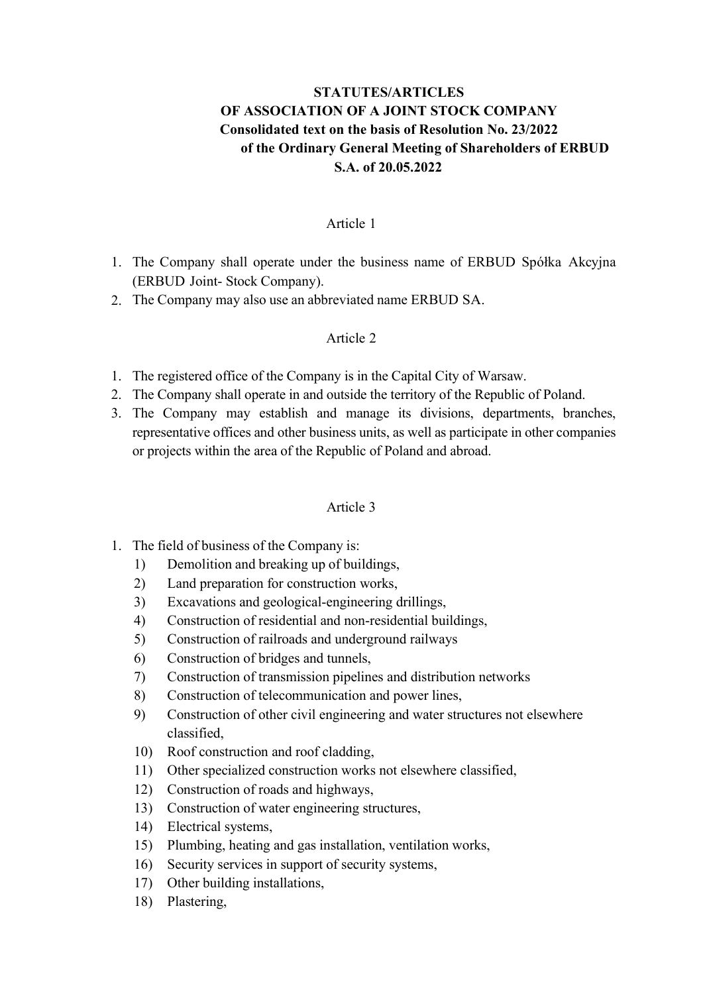# STATUTES/ARTICLES OF ASSOCIATION OF A JOINT STOCK COMPANY Consolidated text on the basis of Resolution No. 23/2022 of the Ordinary General Meeting of Shareholders of ERBUD S.A. of 20.05.2022

#### Article 1

- 1. The Company shall operate under the business name of ERBUD Spółka Akcyjna (ERBUD Joint- Stock Company).
- 2. The Company may also use an abbreviated name ERBUD SA.

### Article 2

- 1. The registered office of the Company is in the Capital City of Warsaw.
- 2. The Company shall operate in and outside the territory of the Republic of Poland.
- 3. The Company may establish and manage its divisions, departments, branches, representative offices and other business units, as well as participate in other companies or projects within the area of the Republic of Poland and abroad.

- 1. The field of business of the Company is:
	- 1) Demolition and breaking up of buildings,
	- 2) Land preparation for construction works,
	- 3) Excavations and geological-engineering drillings,
	- 4) Construction of residential and non-residential buildings,
	- 5) Construction of railroads and underground railways
	- 6) Construction of bridges and tunnels,
	- 7) Construction of transmission pipelines and distribution networks
	- 8) Construction of telecommunication and power lines,
	- 9) Construction of other civil engineering and water structures not elsewhere classified,
	- 10) Roof construction and roof cladding,
	- 11) Other specialized construction works not elsewhere classified,
	- 12) Construction of roads and highways,
	- 13) Construction of water engineering structures,
	- 14) Electrical systems,
	- 15) Plumbing, heating and gas installation, ventilation works,
	- 16) Security services in support of security systems,
	- 17) Other building installations,
	- 18) Plastering,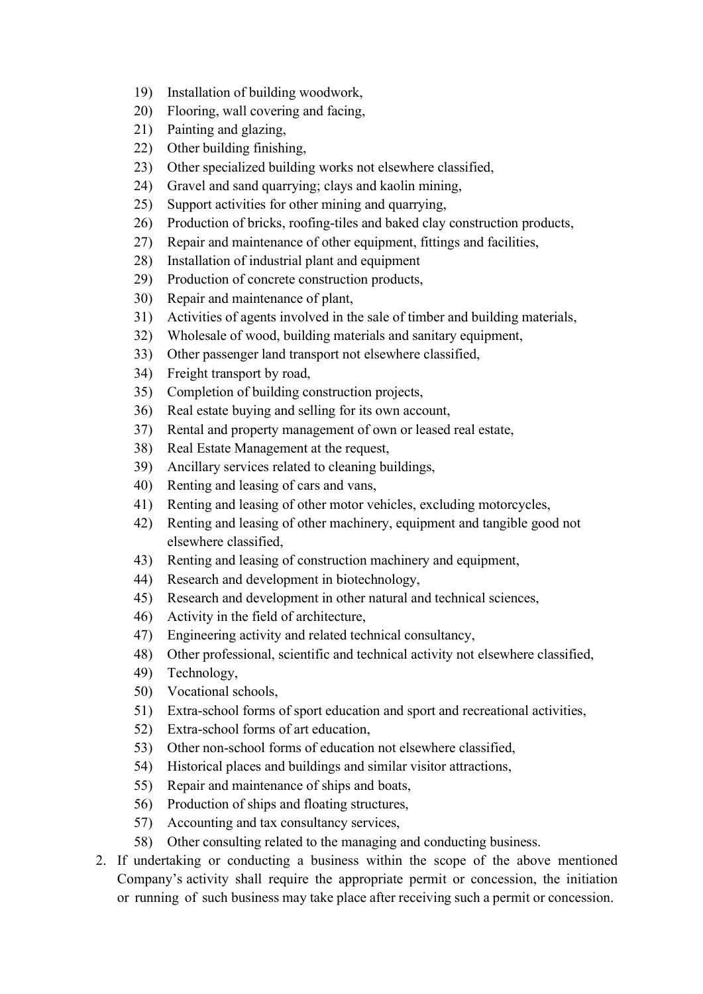- 19) Installation of building woodwork,
- 20) Flooring, wall covering and facing,
- 21) Painting and glazing,
- 22) Other building finishing,
- 23) Other specialized building works not elsewhere classified,
- 24) Gravel and sand quarrying; clays and kaolin mining,
- 25) Support activities for other mining and quarrying,
- 26) Production of bricks, roofing-tiles and baked clay construction products,
- 27) Repair and maintenance of other equipment, fittings and facilities,
- 28) Installation of industrial plant and equipment
- 29) Production of concrete construction products,
- 30) Repair and maintenance of plant,
- 31) Activities of agents involved in the sale of timber and building materials,
- 32) Wholesale of wood, building materials and sanitary equipment,
- 33) Other passenger land transport not elsewhere classified,
- 34) Freight transport by road,
- 35) Completion of building construction projects,
- 36) Real estate buying and selling for its own account,
- 37) Rental and property management of own or leased real estate,
- 38) Real Estate Management at the request,
- 39) Ancillary services related to cleaning buildings,
- 40) Renting and leasing of cars and vans,
- 41) Renting and leasing of other motor vehicles, excluding motorcycles,
- 42) Renting and leasing of other machinery, equipment and tangible good not elsewhere classified,
- 43) Renting and leasing of construction machinery and equipment,
- 44) Research and development in biotechnology,
- 45) Research and development in other natural and technical sciences,
- 46) Activity in the field of architecture,
- 47) Engineering activity and related technical consultancy,
- 48) Other professional, scientific and technical activity not elsewhere classified,
- 49) Technology,
- 50) Vocational schools,
- 51) Extra-school forms of sport education and sport and recreational activities,
- 52) Extra-school forms of art education,
- 53) Other non-school forms of education not elsewhere classified,
- 54) Historical places and buildings and similar visitor attractions,
- 55) Repair and maintenance of ships and boats,
- 56) Production of ships and floating structures,
- 57) Accounting and tax consultancy services,
- 58) Other consulting related to the managing and conducting business.
- 2. If undertaking or conducting a business within the scope of the above mentioned Company's activity shall require the appropriate permit or concession, the initiation or running of such business may take place after receiving such a permit or concession.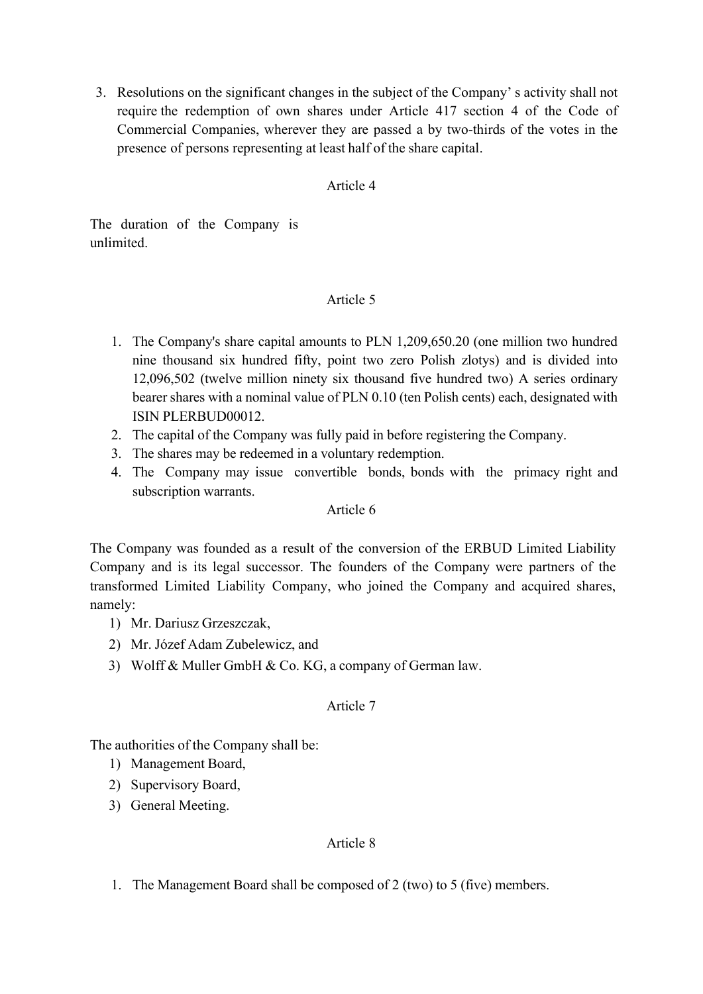3. Resolutions on the significant changes in the subject of the Company' s activity shall not require the redemption of own shares under Article 417 section 4 of the Code of Commercial Companies, wherever they are passed a by two-thirds of the votes in the presence of persons representing at least half of the share capital.

## Article 4

The duration of the Company is unlimited.

### Article 5

- 1. The Company's share capital amounts to PLN 1,209,650.20 (one million two hundred nine thousand six hundred fifty, point two zero Polish zlotys) and is divided into 12,096,502 (twelve million ninety six thousand five hundred two) A series ordinary bearer shares with a nominal value of PLN 0.10 (ten Polish cents) each, designated with ISIN PLERBUD00012.
- 2. The capital of the Company was fully paid in before registering the Company.
- 3. The shares may be redeemed in a voluntary redemption.
- 4. The Company may issue convertible bonds, bonds with the primacy right and subscription warrants.

#### Article 6

The Company was founded as a result of the conversion of the ERBUD Limited Liability Company and is its legal successor. The founders of the Company were partners of the transformed Limited Liability Company, who joined the Company and acquired shares, namely:

- 1) Mr. Dariusz Grzeszczak,
- 2) Mr. Józef Adam Zubelewicz, and
- 3) Wolff & Muller GmbH & Co. KG, a company of German law.

#### Article 7

The authorities of the Company shall be:

- 1) Management Board,
- 2) Supervisory Board,
- 3) General Meeting.

## Article 8

1. The Management Board shall be composed of 2 (two) to 5 (five) members.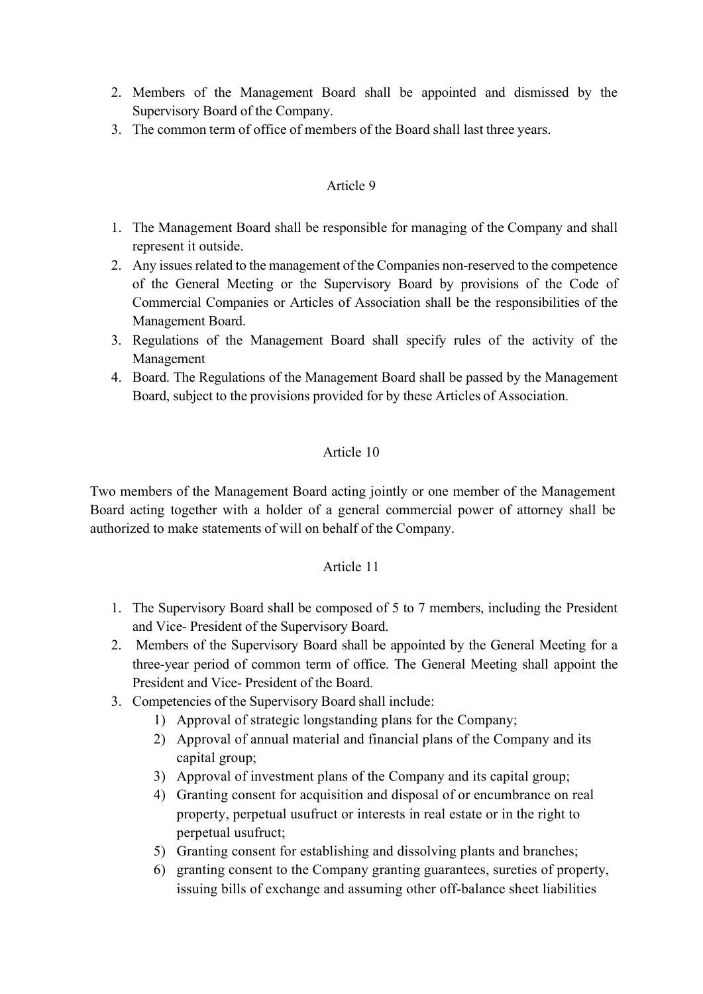- 2. Members of the Management Board shall be appointed and dismissed by the Supervisory Board of the Company.
- 3. The common term of office of members of the Board shall last three years.

### Article 9

- 1. The Management Board shall be responsible for managing of the Company and shall represent it outside.
- 2. Any issues related to the management of the Companies non-reserved to the competence of the General Meeting or the Supervisory Board by provisions of the Code of Commercial Companies or Articles of Association shall be the responsibilities of the Management Board.
- 3. Regulations of the Management Board shall specify rules of the activity of the Management
- 4. Board. The Regulations of the Management Board shall be passed by the Management Board, subject to the provisions provided for by these Articles of Association.

### Article 10

Two members of the Management Board acting jointly or one member of the Management Board acting together with a holder of a general commercial power of attorney shall be authorized to make statements of will on behalf of the Company.

- 1. The Supervisory Board shall be composed of 5 to 7 members, including the President and Vice- President of the Supervisory Board.
- 2. Members of the Supervisory Board shall be appointed by the General Meeting for a three-year period of common term of office. The General Meeting shall appoint the President and Vice- President of the Board.
- 3. Competencies of the Supervisory Board shall include:
	- 1) Approval of strategic longstanding plans for the Company;
	- 2) Approval of annual material and financial plans of the Company and its capital group;
	- 3) Approval of investment plans of the Company and its capital group;
	- 4) Granting consent for acquisition and disposal of or encumbrance on real property, perpetual usufruct or interests in real estate or in the right to perpetual usufruct;
	- 5) Granting consent for establishing and dissolving plants and branches;
	- 6) granting consent to the Company granting guarantees, sureties of property, issuing bills of exchange and assuming other off-balance sheet liabilities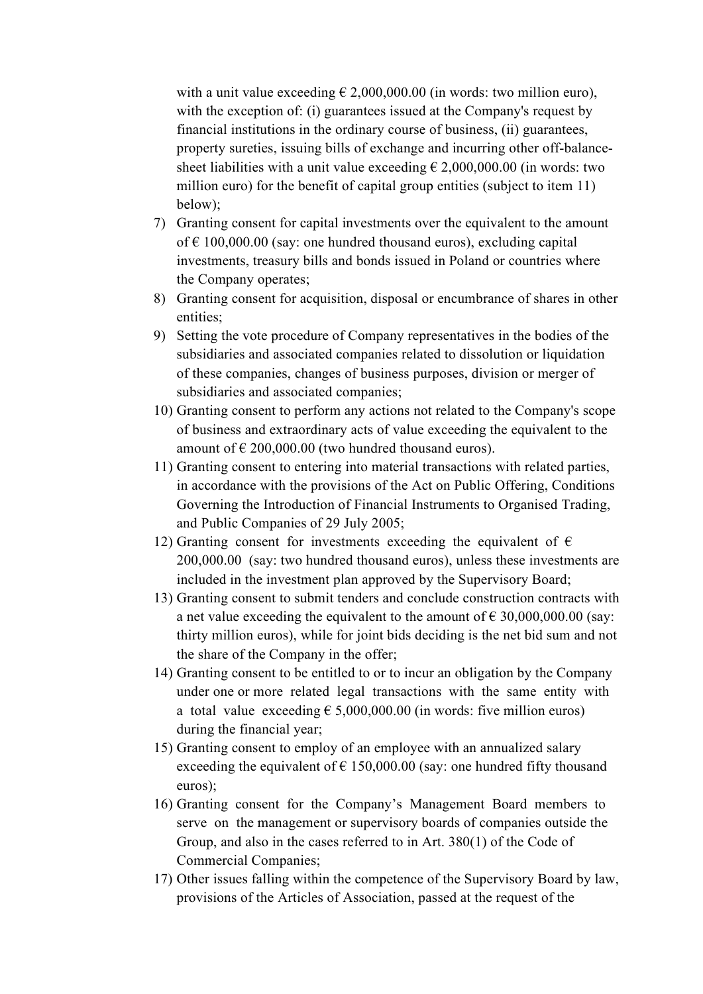with a unit value exceeding  $\epsilon$  2,000,000.00 (in words: two million euro), with the exception of: (i) guarantees issued at the Company's request by financial institutions in the ordinary course of business, (ii) guarantees, property sureties, issuing bills of exchange and incurring other off-balancesheet liabilities with a unit value exceeding  $\epsilon$  2,000,000.00 (in words: two million euro) for the benefit of capital group entities (subject to item 11) below);

- 7) Granting consent for capital investments over the equivalent to the amount of  $\epsilon$  100,000.00 (say: one hundred thousand euros), excluding capital investments, treasury bills and bonds issued in Poland or countries where the Company operates;
- 8) Granting consent for acquisition, disposal or encumbrance of shares in other entities;
- 9) Setting the vote procedure of Company representatives in the bodies of the subsidiaries and associated companies related to dissolution or liquidation of these companies, changes of business purposes, division or merger of subsidiaries and associated companies;
- 10) Granting consent to perform any actions not related to the Company's scope of business and extraordinary acts of value exceeding the equivalent to the amount of  $\epsilon$  200,000.00 (two hundred thousand euros).
- 11) Granting consent to entering into material transactions with related parties, in accordance with the provisions of the Act on Public Offering, Conditions Governing the Introduction of Financial Instruments to Organised Trading, and Public Companies of 29 July 2005;
- 12) Granting consent for investments exceeding the equivalent of  $\epsilon$ 200,000.00 (say: two hundred thousand euros), unless these investments are included in the investment plan approved by the Supervisory Board;
- 13) Granting consent to submit tenders and conclude construction contracts with a net value exceeding the equivalent to the amount of  $\epsilon$  30,000,000.00 (say: thirty million euros), while for joint bids deciding is the net bid sum and not the share of the Company in the offer;
- 14) Granting consent to be entitled to or to incur an obligation by the Company under one or more related legal transactions with the same entity with a total value exceeding  $\epsilon$  5,000,000.00 (in words: five million euros) during the financial year;
- 15) Granting consent to employ of an employee with an annualized salary exceeding the equivalent of  $\epsilon$  150,000.00 (say: one hundred fifty thousand euros);
- 16) Granting consent for the Company's Management Board members to serve on the management or supervisory boards of companies outside the Group, and also in the cases referred to in Art. 380(1) of the Code of Commercial Companies;
- 17) Other issues falling within the competence of the Supervisory Board by law, provisions of the Articles of Association, passed at the request of the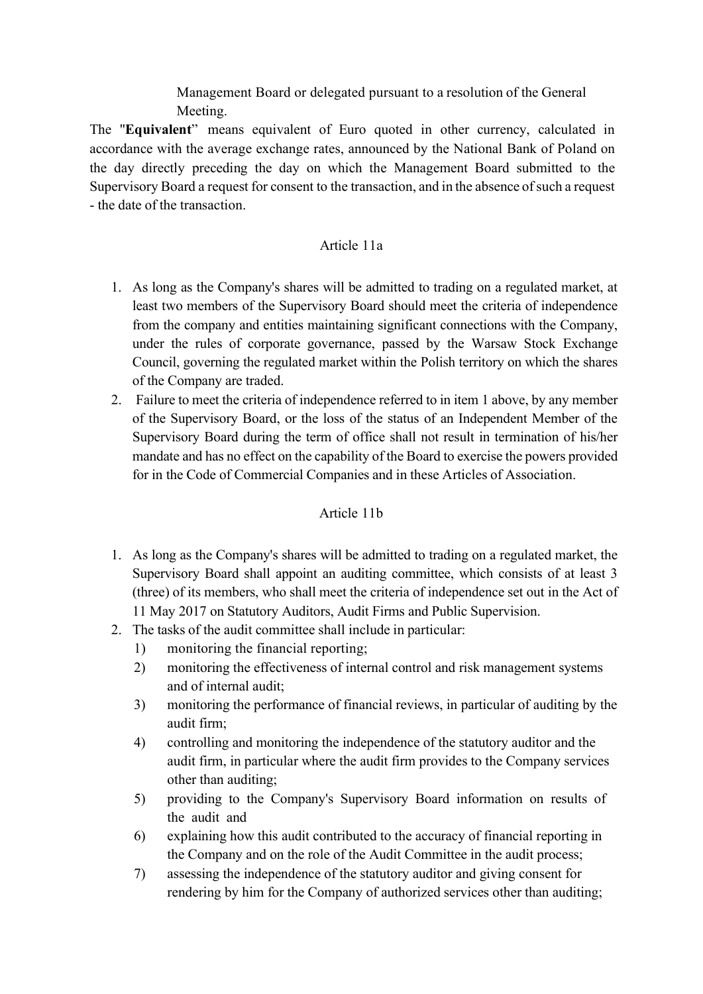Management Board or delegated pursuant to a resolution of the General Meeting.

The "Equivalent" means equivalent of Euro quoted in other currency, calculated in accordance with the average exchange rates, announced by the National Bank of Poland on the day directly preceding the day on which the Management Board submitted to the Supervisory Board a request for consent to the transaction, and in the absence of such a request - the date of the transaction.

## Article 11a

- 1. As long as the Company's shares will be admitted to trading on a regulated market, at least two members of the Supervisory Board should meet the criteria of independence from the company and entities maintaining significant connections with the Company, under the rules of corporate governance, passed by the Warsaw Stock Exchange Council, governing the regulated market within the Polish territory on which the shares of the Company are traded.
- 2. Failure to meet the criteria of independence referred to in item 1 above, by any member of the Supervisory Board, or the loss of the status of an Independent Member of the Supervisory Board during the term of office shall not result in termination of his/her mandate and has no effect on the capability of the Board to exercise the powers provided for in the Code of Commercial Companies and in these Articles of Association.

## Article 11b

- 1. As long as the Company's shares will be admitted to trading on a regulated market, the Supervisory Board shall appoint an auditing committee, which consists of at least 3 (three) of its members, who shall meet the criteria of independence set out in the Act of 11 May 2017 on Statutory Auditors, Audit Firms and Public Supervision.
- 2. The tasks of the audit committee shall include in particular:
	- 1) monitoring the financial reporting;
	- 2) monitoring the effectiveness of internal control and risk management systems and of internal audit;
	- 3) monitoring the performance of financial reviews, in particular of auditing by the audit firm;
	- 4) controlling and monitoring the independence of the statutory auditor and the audit firm, in particular where the audit firm provides to the Company services other than auditing;
	- 5) providing to the Company's Supervisory Board information on results of the audit and
	- 6) explaining how this audit contributed to the accuracy of financial reporting in the Company and on the role of the Audit Committee in the audit process;
	- 7) assessing the independence of the statutory auditor and giving consent for rendering by him for the Company of authorized services other than auditing;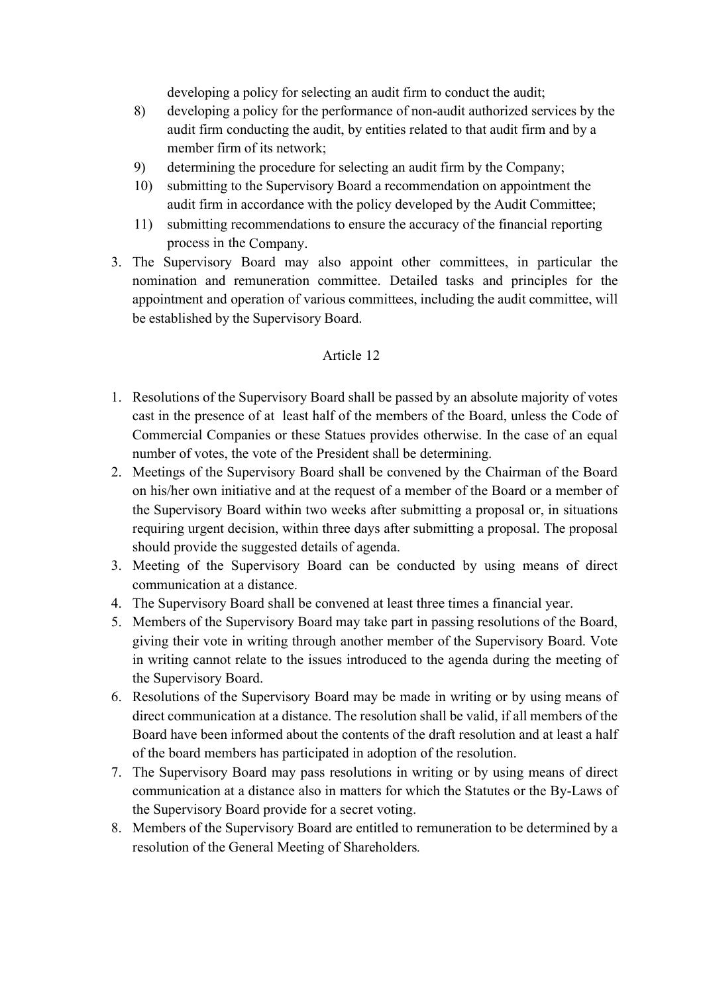developing a policy for selecting an audit firm to conduct the audit;

- 8) developing a policy for the performance of non-audit authorized services by the audit firm conducting the audit, by entities related to that audit firm and by a member firm of its network;
- 9) determining the procedure for selecting an audit firm by the Company;
- 10) submitting to the Supervisory Board a recommendation on appointment the audit firm in accordance with the policy developed by the Audit Committee;
- 11) submitting recommendations to ensure the accuracy of the financial reporting process in the Company.
- 3. The Supervisory Board may also appoint other committees, in particular the nomination and remuneration committee. Detailed tasks and principles for the appointment and operation of various committees, including the audit committee, will be established by the Supervisory Board.

- 1. Resolutions of the Supervisory Board shall be passed by an absolute majority of votes cast in the presence of at least half of the members of the Board, unless the Code of Commercial Companies or these Statues provides otherwise. In the case of an equal number of votes, the vote of the President shall be determining.
- 2. Meetings of the Supervisory Board shall be convened by the Chairman of the Board on his/her own initiative and at the request of a member of the Board or a member of the Supervisory Board within two weeks after submitting a proposal or, in situations requiring urgent decision, within three days after submitting a proposal. The proposal should provide the suggested details of agenda.
- 3. Meeting of the Supervisory Board can be conducted by using means of direct communication at a distance.
- 4. The Supervisory Board shall be convened at least three times a financial year.
- 5. Members of the Supervisory Board may take part in passing resolutions of the Board, giving their vote in writing through another member of the Supervisory Board. Vote in writing cannot relate to the issues introduced to the agenda during the meeting of the Supervisory Board.
- 6. Resolutions of the Supervisory Board may be made in writing or by using means of direct communication at a distance. The resolution shall be valid, if all members of the Board have been informed about the contents of the draft resolution and at least a half of the board members has participated in adoption of the resolution.
- 7. The Supervisory Board may pass resolutions in writing or by using means of direct communication at a distance also in matters for which the Statutes or the By-Laws of the Supervisory Board provide for a secret voting.
- 8. Members of the Supervisory Board are entitled to remuneration to be determined by a resolution of the General Meeting of Shareholders.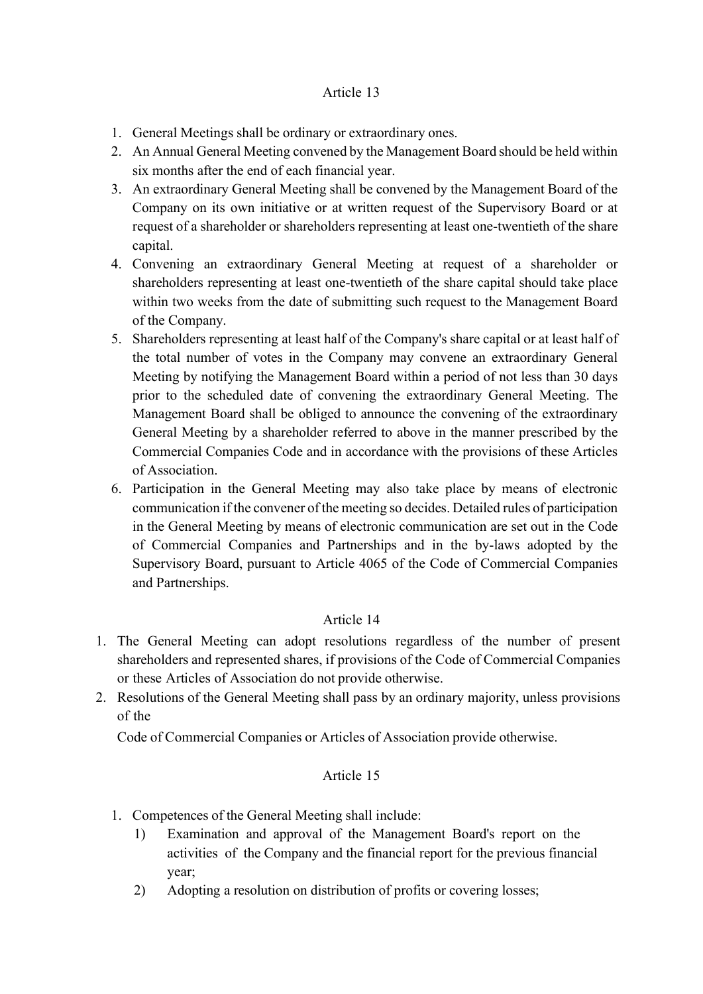## Article 13

- 1. General Meetings shall be ordinary or extraordinary ones.
- 2. An Annual General Meeting convened by the Management Board should be held within six months after the end of each financial year.
- 3. An extraordinary General Meeting shall be convened by the Management Board of the Company on its own initiative or at written request of the Supervisory Board or at request of a shareholder or shareholders representing at least one-twentieth of the share capital.
- 4. Convening an extraordinary General Meeting at request of a shareholder or shareholders representing at least one-twentieth of the share capital should take place within two weeks from the date of submitting such request to the Management Board of the Company.
- 5. Shareholders representing at least half of the Company's share capital or at least half of the total number of votes in the Company may convene an extraordinary General Meeting by notifying the Management Board within a period of not less than 30 days prior to the scheduled date of convening the extraordinary General Meeting. The Management Board shall be obliged to announce the convening of the extraordinary General Meeting by a shareholder referred to above in the manner prescribed by the Commercial Companies Code and in accordance with the provisions of these Articles of Association.
- 6. Participation in the General Meeting may also take place by means of electronic communication if the convener of the meeting so decides. Detailed rules of participation in the General Meeting by means of electronic communication are set out in the Code of Commercial Companies and Partnerships and in the by-laws adopted by the Supervisory Board, pursuant to Article 4065 of the Code of Commercial Companies and Partnerships.

## Article 14

- 1. The General Meeting can adopt resolutions regardless of the number of present shareholders and represented shares, if provisions of the Code of Commercial Companies or these Articles of Association do not provide otherwise.
- 2. Resolutions of the General Meeting shall pass by an ordinary majority, unless provisions of the

Code of Commercial Companies or Articles of Association provide otherwise.

- 1. Competences of the General Meeting shall include:
	- 1) Examination and approval of the Management Board's report on the activities of the Company and the financial report for the previous financial year;
	- 2) Adopting a resolution on distribution of profits or covering losses;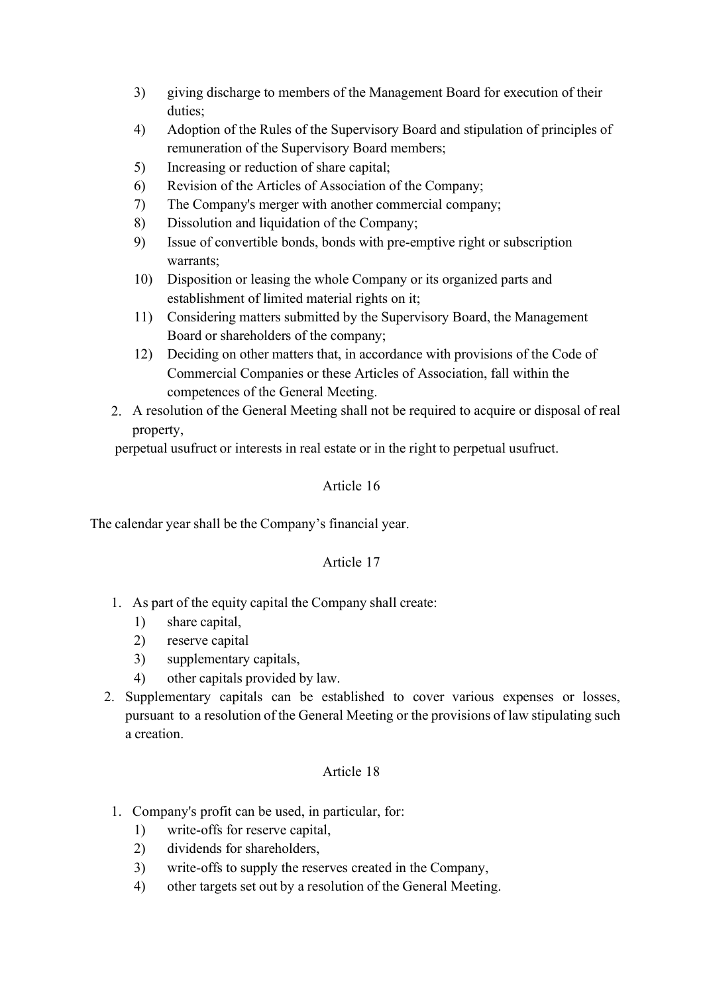- 3) giving discharge to members of the Management Board for execution of their duties;
- 4) Adoption of the Rules of the Supervisory Board and stipulation of principles of remuneration of the Supervisory Board members;
- 5) Increasing or reduction of share capital;
- 6) Revision of the Articles of Association of the Company;
- 7) The Company's merger with another commercial company;
- 8) Dissolution and liquidation of the Company;
- 9) Issue of convertible bonds, bonds with pre-emptive right or subscription warrants;
- 10) Disposition or leasing the whole Company or its organized parts and establishment of limited material rights on it;
- 11) Considering matters submitted by the Supervisory Board, the Management Board or shareholders of the company;
- 12) Deciding on other matters that, in accordance with provisions of the Code of Commercial Companies or these Articles of Association, fall within the competences of the General Meeting.
- 2. A resolution of the General Meeting shall not be required to acquire or disposal of real property,

perpetual usufruct or interests in real estate or in the right to perpetual usufruct.

## Article 16

The calendar year shall be the Company's financial year.

## Article 17

- 1. As part of the equity capital the Company shall create:
	- 1) share capital,
	- 2) reserve capital
	- 3) supplementary capitals,
	- 4) other capitals provided by law.
- 2. Supplementary capitals can be established to cover various expenses or losses, pursuant to a resolution of the General Meeting or the provisions of law stipulating such a creation.

- 1. Company's profit can be used, in particular, for:
	- 1) write-offs for reserve capital,
	- 2) dividends for shareholders,
	- 3) write-offs to supply the reserves created in the Company,
	- 4) other targets set out by a resolution of the General Meeting.